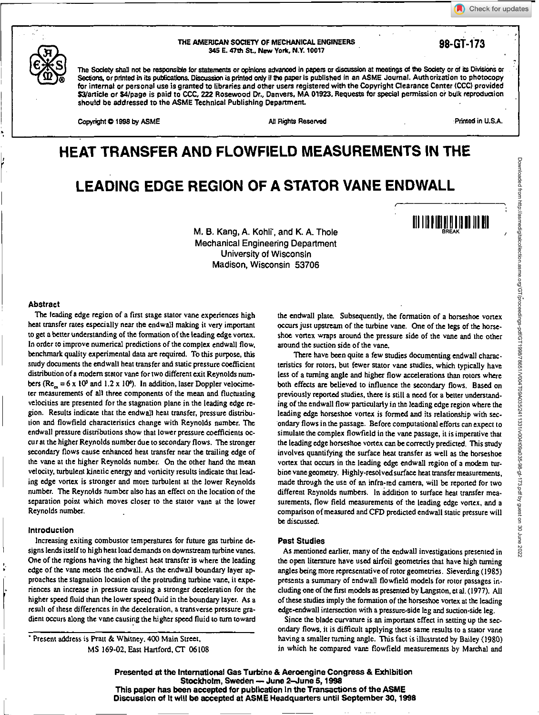Check for updates



### THE AMERICAN SOCIETY OF MECHANICAL ENGINEERS 345 E. 47th St., New York, N.Y. 10017

The Society shall not be responsible for statements or opinions advanced in papers or discussion at meetings of the Society or of **its** DMsions or Sections, or printed in its publications. Discussion is printed only if the paper is published in an ASME Journal. Authorization to photocopy for internal or personal use is granted to libraries and other users registered with the Copyright Clearance Center (CCC) provided S3/article or \$4/page is paid to CCC, 222 Rosewood Dr., Danvers, MA 01923. Requests for special permission or bulk reproduction should be addressed to the ASME Technical Publishing Department.

Copyright **0** 1998 by ASME All Rights Reserved **All Rights Reserved** Printed in U.S.A.

111 111 **111 111 111 111 111** 

**98-GT-173** 

# **HEAT TRANSFER AND FLOWF1ELD MEASUREMENTS IN THE**

## **LEADING EDGE REGION OF A STATOR VANE ENDWALL**

M. B. Kang, A. Kohl'', and K. A. Thole Mechanical Engineering Department University of Wisconsin Madison, Wisconsin 53706

## Abstract

The leading **edge** region of a first stage stator vane experiences high heat transfer rates especially near the endwall making it very important to get a better understanding of the formation of the leading edge vortex. In order to improve numerical predictions of the complex endwall flow, benchmark quality experimental data are required. To this purpose, this study documents the endwall heat transfer and static pressure coefficient distribution of a modem stator vane for two different exit Reynolds numbers (Re  $= 6 \times 10^5$  and 1.2 x 10<sup>6</sup>). In addition, laser Doppler velocimeter measurements of all three components of the mean and fluctuating velocities are presented for the stagnation plane in the leading edge region. Results indicate that the endwall heat transfer, pressure distribution and flowfield characteristics change with Reynolds number. The endwall pressure distributions show that lower pressure coefficients occur at the higher Reynolds number due to secondary flows. The stronger secondary flows cause enhanced heat transfer near the trailing edge of the vane at the higher Reynolds number. On the other hand the mean velocity, turbulent kinetic energy and vorticity results indicate that leading edge vortex is stronger and more turbulent at the lower Reynolds number. The Reynolds number also has an effect on the location of the separation point which moves closer to the stator vane at the lower Reynolds number.

#### **Introduction**

Increasing exiting combustor temperatures for future gas turbine designs lends itself to high heat load demands on downstream turbine vanes. One of the regions having the highest heat transfer is where the leading edge of the vane meets the endwall. As the endwall boundary layer approaches the stagnation location of the protruding turbine vane, it experiences an increase in pressure causing a stronger deceleration for the higher speed fluid than the lower speed fluid in the boundary layer. As a result of these differences in the deceleration, a transverse pressure gradient occurs along the vane causing the higher speed fluid to turn toward

• Present address is Pratt & Whitney, 400 Main Street, MS 169-02, East Hartford, CT 06108 the endwall plate. Subsequently, the formation of a horseshoe vortex occurs just upstream of the turbine vane. One of the legs of the horseshoe vortex wraps around the pressure side of the vane and the other around the suction side of the vane.

There have been quite a few studies documenting endwall characteristics for rotors, but fewer stator vane studies, which typically have less of a turning angle and higher flow accelerations than rotors where both effects are believed to influence the secondary flows. Based on previously repotted studies, there is still a need for a better understanding of the endwall flow particularly in the leading edge region where the leading edge horseshoe vortex is formed and its relationship with secondary flows in the passage. Before computational efforts can expect to simulate the complex flowfield in the vane passage, it is imperative that the leading edge horseshoe vortex can be correctly predicted. This study involves quantifying the surface heat transfer as well as the horseshoe vortex that occurs in the leading edge endwall region of a modern turbine vane geometry. Highly-resolved surface heat transfer measurements, made through the use of an infra-red camera, will be reported for two different Reynolds numbers. In addition to surface heat transfer measurements, flow field measurements of the leading edge vortex, and a comparison of measured and CFD predicted endwall static pressure will be discussed.

## **Past Studies**

As mentioned earlier, many of the endwall investigations presented in the open literature have used airfoil geometries that have high turning angles being more representative of rotor geometries. Sieverding (1985) presents a summary of endwall flowfield models for rotor passages including one of the first models as presented by Langston, et al. (1977). All of these studies imply the formation of the horseshoe vortex at the leading edge-endwall intersection with a pressure-side leg and suction-side leg.

Since the blade curvature is an important effect in setting up the secondary flows, it is difficult applying these same results to a stator vane having a smaller turning angle. This fact is illustrated by Bailey (1980) in which he compared vane flowfield measurements by Marchal and

**Presented at the International Gas Turbine & Aeroengine Congress & Exhibition Stockholm, Sweden —June 2—June 5,1998 This paper has been accepted for publication in the Transactions of the ASME Discussion of It will be accepted at ASME Headquarters until September 30, 1998**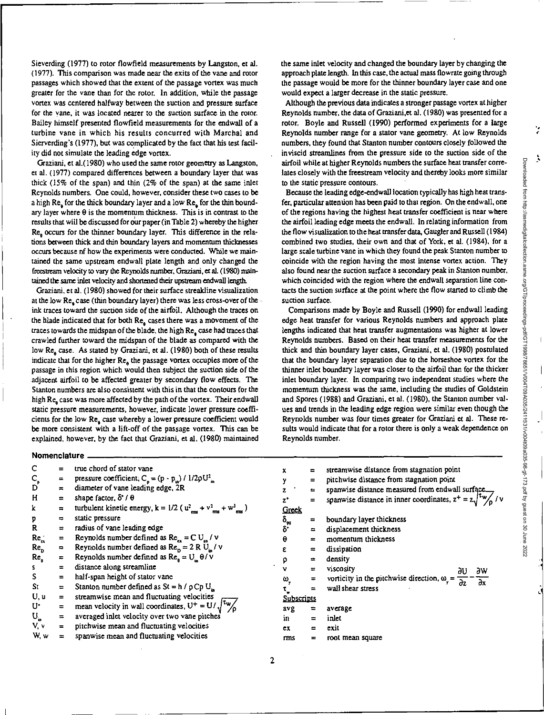$\mathbb I$ 

Sieverding (1977) to rotor flowfield measurements by Langston, et al. (1977). This comparison was made near the exits of the vane and rotor passages which showed that the extent of the passage vortex was much greater for the vane than for the rotor. In addition, while the passage vortex was centered halfway between the suction and pressure surface for the vane, it was located nearer to the suction surface in the rotor. Bailey himself presented flowfield measurements for the endwall of a turbine vane in which his results concurred with Marchal and Sierverding's (1977), but was complicated by the fact that his test facility did not simulate the leading edge vortex.

Graziani, et al.(1980) who used the same rotor geometry as Langston, et al. (1977) compared differences between a boundary layer that was thick (15% of the span) and thin (2% of the span) at the same inlet Reynolds numbers. One could, however, consider these two cases to be a high Re, for the thick boundary layer and a low Re, for the thin boundary layer where  $\theta$  is the momentum thickness. This is in contrast to the results that will be discussed for our paper (in Table 2) whereby the higher Re, occurs for the thinner boundary layer. This difference in the relations between thick and thin boundary layers and momentum thicknesses occurs because of how the experiments were conducted. While we maintained the same upstream endwall plate length and only changed the freestream velocity to vary the Reynolds number, Graziani, et al. (1980) maintained the same inlet velocity and shortened their upstream endwall length.

Graziani, et al. (1980) showed for their surface streakline visualization at the low Re<sub>s</sub> case (thin boundary layer) there was less cross-over of the  $\cdot$ ink traces toward the suction side of the airfoil. Although the traces on the hlade indicated that for both  $Re_8$  cases there was a movement of the traces towards the midspan of the blade, the high Re, case had traces that crawled further toward the midspan of the blade as compared with the low Re<sub>a</sub> case. As stated by Graziani, et al. (1980) both of these results indicate that for the higher Re, the passage vortex occupies more of the passage in this region which would then subject the suction side of the adjacent airfoil to be affected greater by secondary flow effects. The Stanton numbers are also consistent with this in that the contours for the high Re<sub>a</sub> case was more affected by the path of the vortex. Their endwall static pressure measurements, however, indicate lower pressure coefficients for the low Re, case whereby a lower pressure coefficient would be more consistent with a lift-off of the passage vortex. This can be explained, however, by the fact that Graziani, et al. (1980) maintained

the same inlet velocity and changed the boundary layer by changing the approach plate length. In this case, the actual mass flowrate going through the passage would be more for the thinner boundary layer case and one would expect a larger decrease in the static pressure.

Although the previous data indicates a stronger passage vortex at higher Reynolds number, the data of Graziani, et al. (1980) was presented for a rotor. Boyle and Russell (1990) performed experiments for a large Reynolds number range for a stator vane geometry. At low Reynolds numbers, they found that Stanton number contours closely followed the inviscid streamlines from the pressure side to the suction side of the airfoil while at higher Reynolds numbers the surface heat transfer correlates closely with the freestream velocity and thereby looks more similar to the static pressure contours.

Because the leading edge-endwall location typically has high heat transfer, particular attention has been paid to that region. On the endwall, one of the regions having the highest heat transfer coefficient is near where the airfoil leading edge meets the endwall. In relating information from the flow visualization to the heat transfer data, Gaugler and Russell (1984) combined two studies, their own and that of York, et al. (1984), for a large scale turbine vane in which they found the peak Stanton number to coincide with the region having the most intense vortex action. They also found near the suction surface a secondary peak in Stanton number, which coincided with the region where the endwall separation line contacts the suction surface at the point where the flow started to climb the suction surface.

Comparisons made by Boyle and Russell (1990) for endwall leading edge heat transfer for various Reynolds numbers and approach plate lengths indicated that heat transfer augmentations was higher at lower Reynolds numbers. Based on their heat transfer measurements for the thick and thin boundary layer cases, Graziani, et al. (1980) postulated that the boundary layer separation due to the horseshoe vortex for the thinner inlet boundary layer was closer to the airfoil than for the thicker inlet boundary layer. In comparing two independent studies where the momentum thickness was the same, including the studies of Goldstein and Spores (1988) and Graziani, et al. (1980), the Stanton number values and trends in the leading edge region were similar even though the Reynolds number was four times greater for Graziani et al. These results would indicate that for a rotor there is only a weak dependence on Reynolds number.

## **Nomenclature**

|                                             | =                 | true chord of stator vane                                                                        |                   | ≃        | streamwise distance from stagnation point                                             |
|---------------------------------------------|-------------------|--------------------------------------------------------------------------------------------------|-------------------|----------|---------------------------------------------------------------------------------------|
| $\mathsf{c}_{\scriptscriptstyle\mathsf{p}}$ | $\equiv$          | pressure coefficient, $C_p = (p - p_a) / 1/2\rho U_{in}^2$                                       |                   | $=$      | pitchwise distance from stagnation point                                              |
| D                                           | $\equiv$          | diameter of vane leading edge, 2R                                                                |                   | =        | spanwise distance measured from endwall surface.                                      |
| H                                           | Ξ                 | shape factor, $\delta'/\theta$                                                                   | $z^*$             | $=$      | spanwise distance in inner coordinates, $z^+ = z \sqrt{\frac{v_{\text{w}}}{a}} / \nu$ |
|                                             | $\equiv$          | turbulent kinetic energy, $k = 1/2$ ( $u_{\text{rms}}^2 + v_{\text{rms}}^2 + w_{\text{rms}}^1$ ) | Greek             |          |                                                                                       |
| p                                           | ٠                 | static pressure                                                                                  | $\delta_{qq}$     | $\equiv$ | boundary layer thickness                                                              |
| R                                           | ≂                 | radius of vane leading edge                                                                      | δ٠                | =        | displacement thickness                                                                |
| $\mathsf{Re}_{_{\mathbf{m}}}$               | ÷                 | Reynolds number defined as $Re_{xx} = C U_{xx}/v$                                                |                   | $=$      | momentum thickness                                                                    |
| $Re_{p}$                                    | $\Rightarrow$     | Reynolds number defined as $Re_p = 2 R \ddot{U}_m / v$                                           |                   | =        | dissipation                                                                           |
| $\mathsf{Rc}_{_{\mathsf{B}}}^-$             | $\equiv$          | Reynolds number defined as $Re_n = U_n \theta / \nu$                                             | ρ                 | =        | density                                                                               |
| S                                           | $\qquad \qquad =$ | distance along streamline                                                                        |                   | $=$      | viscosity                                                                             |
| S                                           | $\equiv$          | half-span height of stator vane                                                                  |                   | $\equiv$ | ∂W<br>ЭU<br>vorticity in the pitchwise direction, $\omega = \frac{1}{2\pi}$           |
| St                                          | $\equiv$          | Stanton number defined as $St = h / \rho Cp U_m$                                                 | $\omega_{\rm v}$  | $\equiv$ | $\overline{dz}$<br>$\partial x$<br>wall shear stress                                  |
| U, u                                        | $=$               | streamwise mean and fluctuating velocities                                                       |                   |          |                                                                                       |
|                                             |                   | mean velocity in wall coordinates, $U^+ = U/\sqrt{\frac{t_{w}}{2}}$                              | <b>Subscripts</b> |          |                                                                                       |
| U۰                                          | $\equiv$          |                                                                                                  | avg               | ≃        | average                                                                               |
| $\Omega_{\rm in}$                           | $\equiv$          | averaged inlet velocity over two vane pitches                                                    | in.               | =        | inlet                                                                                 |
| V, v                                        | $=$               | pitchwise mean and fluctuating velocities                                                        | eх                | Ξ        | exit                                                                                  |
| W, w                                        | $\equiv$          | spanwise mean and fluctuating velocities                                                         | rms               | =        | root mean square                                                                      |
|                                             |                   |                                                                                                  |                   |          |                                                                                       |

Å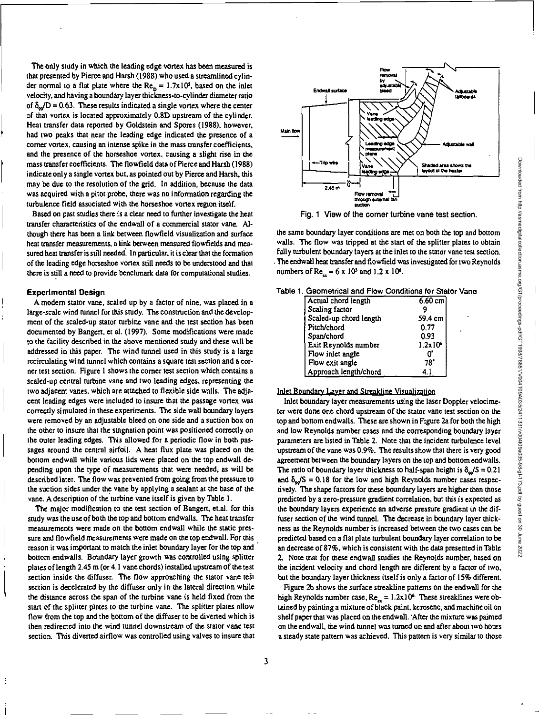The only study in which the leading edge vortex has been measured is that presented by Pierce and Harsh (1988) who used a streamlined cylinder normal to a flat plate where the  $Re_p = 1.7 \times 10^5$ , based on the inlet velocity, and having a boundary layer thickness-to-cylinder diameter ratio of  $\delta_{\omega}/D = 0.63$ . These results indicated a single vortex where the center of that vortex is located approximately 08D upstream of the cylinder Heat transfer data reported by Goldstein and Spores (1988), however, had two peaks that near the leading edge indicated the presence of a corner vortex, causing an intense spike in the mass transfer coefficients, and the presence of the horseshoe vortex, causing a slight rise in the mass transfer coefficients. The flowfield data of Pierce and Harsh (1988) indicate only a single vortex but, as pointed out by Pierce and Harsh, this may be due to the resolution of the grid. In addition, because the data was acquired with a pitot probe, there was no information regarding the turbulence field associated with the horseshoe vortex region itself.

Based on past studies there is a clear need to further investigate the heat transfer characteristics of the endwall of a commercial stator vane. Although there has been a link between flowfield visualization and surface heat transfer measurements, a link between measured flowfields and measured heat transfer is still needed. In particular, it is clear that the formation of the leading edge horseshoe vortex still needs to be understood and that there is still a need to provide benchmark data for computational studies.

### Experimental Design

A modern stator vane, scaled up by a factor of nine, was placed in a large-scale wind tunnel for this study. The construction and the development of the scaled-up stator turbine vane and the test section has been documented by Bangen, et al. (1997). Some modifications were made to the facility described in the above mentioned study and these will be addressed in this paper. The wind tunnel used in this study is a large recirculating wind tunnel which contains a square test section and a corner test section. Figure 1 shows the corner test section which contains a scaled-up central turbine vane and two leading edges, representing the two adjacent vanes, which are attached to flexible side walls. The adjacent leading edges were included to insure that the passage vortex was correctly simulated in these experiments. The side wall boundary layers were removed by an adjustable bleed on one side and a suction box on the other to insure that the stagnation point was positioned correctly on the outer leading edges. This allowed for a periodic flow in both passages around the central airfoil. A heat flux plate was placed on the bottom endwall while various lids were placed on the top endwall depending upon the type of measurements that were needed, as will be described later. The flow was prevented from going from the pressure to the suction sides under the vane by applying a sealant at the base of the vane. A description of the turbine vane itself is given by Table 1.

The major modification to the test section of Bangert, et.al. for this study was the use of both the top and bottom endwalls. The heat transfer measurements were made on the bottom endwall while the static pressure and flowfield measurements were made on the top endwall. For this reason it was important to match the inlet boundary layer for the top and bottom endwalls. Boundary layer growth was controlled using splitter plates of length 2.45 m (or 4.1 vane chords) installed upstream of the test section inside the diffuser. The flow approaching the stator vane test section is decelerated by the diffuser only in the lateral direction while the distance across the span of the turbine vane is held fixed from the start of the splitter plates to the turbine vane. The splitter plates allow flow from the top and the bottom of the diffuser to be diverted which is then redirected into the wind tunnel downstream of the stator vane test section. This diverted airflow was controlled using valves to insure that



Fig. 1 View of the corner turbine vane test section.

the same boundary layer conditions are met on both the top and bottom walls. The flow was tripped at the start of the splitter plates to obtain fully turbulent boundary tayers at the inlet to the stator vane test section. . The endwall heat transfer and flowfield was investigated for two Reynolds numbers of  $Re_a = 6 \times 10^5$  and 1.2 x 10<sup>6</sup>.

| Table 1. Geometrical and Flow Conditions for Stator Vane |                   |  |
|----------------------------------------------------------|-------------------|--|
| Actual chord length                                      | $6.60 \text{ cm}$ |  |
| Scaling factor                                           |                   |  |
| Scaled-up chord length                                   | 59.4 cm           |  |
| Pitch/chord                                              | 0.77              |  |
| Span/chord                                               | 0.93              |  |
| Exit Reynolds number                                     | $1.2 \times 10^6$ |  |
| Flow inlet angle                                         |                   |  |
| Flow exit angle                                          | 78'               |  |
| Approach length/chord                                    |                   |  |

#### Inlet Boundary Laver and Streakline Visualization

Inlet boundary layer measurements using the laser Doppler velocimeter were done one chord upstream of the stator vane test section on the top and bottom endwalls. These are shown in Figure 2a for both the high and low Reynolds number cases and the corresponding boundary layer parameters are listed in Table 2. Note that the incident turbulence level upstream of the vane was 0.9%. The results show that there is very good agreement between the boundary layers on the top and bottom endwalls. The ratio of boundary layer thickness to half-span height is  $\delta_{\omega}/S = 0.21$ and  $\delta_{\omega}/S = 0.18$  for the low and high Reynolds number cases respectively. The shape factors for these boundary layers are higher than those predicted by a zero-pressure gradient correlation, but this is expected as the boundary layers experience an adverse pressure gradient in the diffuser section of the wind tunnel. The decrease in boundary layer thickness as the Reynolds number is increased between the two cases can be predicted based on a flat plate turbulent boundary layer correlation to be an decrease of 87%, which is consistent with the data presented in Table 2. Note that for these endwall studies the Reynolds number, based on the incident velocity and chord length are different by a factor of two, but the boundary layer thickness itself is only a factor of 15% different.

Figure 2b shows the surface streakline patterns on the endwall for the high Reynolds number case,  $Re_{ex} = 1.2 \times 10^6$ . These streaklines were obtained by painting a mixture of black paint, kerosene, and machine oil on shelf paper that was placed on the endwall. After the mixture was painted on the endwall, the wind tunnel was turned on and after about two hours a steady state pattern was achieved. This pattern is very similar to those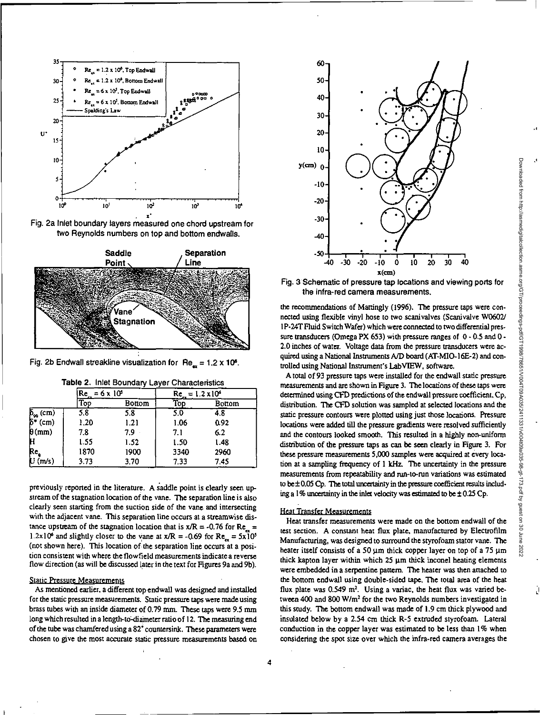

, Fig. 2a Inlet boundary layers measured one chord upstream for two Reynolds numbers on top and bottom endwalls.



Fig. 2b Endwall streakline visualization for Re $_{ex}$  = 1.2 x 10<sup>6</sup>.

|  |  | Table 2. Inlet Boundary Layer Characteristics |  |
|--|--|-----------------------------------------------|--|
|--|--|-----------------------------------------------|--|

|                                                     |                         | $Rea = 6 x 10^5$ |      | $Re_x = 1.2 \times 10^4$ |
|-----------------------------------------------------|-------------------------|------------------|------|--------------------------|
|                                                     | $\overline{\text{Top}}$ | Bottom           | Top  | Bottom                   |
| $\delta_{\infty}^{\bullet}$ (cm)<br>$\delta^*$ (cm) | 5.8                     | 5.8              | 5.0  | 4.8                      |
|                                                     | 1,20                    | 1.21             | 1.06 | 0.92                     |
| $\beta$ (mm)                                        | 7.8                     | 7.9              | 7.1  | 6.2                      |
|                                                     | 1.55                    | 1.52             | 1.50 | 1.48                     |
|                                                     | 1870                    | 1900             | 3340 | 2960                     |
| Re<br>U (m/s)                                       | 3.73                    | 3.70             | 7.33 | 7.45                     |

previously reported in the literature. A saddle point is clearly seen upstream of the stagnation location of the vane. The separation line is also clearly seen starting from the suction side of the vane and intersecting with the adjacent vane. This separation line occurs at a streamwise distance upstream of the stagnation location that is  $x/R = -0.76$  for Re  $=$ 1.2x10<sup>6</sup> and slightly closer to the vane at  $x/R = -0.69$  for  $Re<sub>ex</sub> = 5x10<sup>5</sup>$ (not shown here). This location of the separation line occurs at a position consistent with where the flowtield measurements indicate a reverse flow direction (as will be discussed later in the text for Figures 9a and 9b).

## Static Pressure Measurements

As mentioned earlier, a different top endwall was designed and installed for the static pressure measurements. Static pressure taps were made using brass tubes with an inside diameter of 0.79 mm. These taps were 9.5 nun long which resulted in a length-to-diameter ratio of 12. The measuring end of the tube was chamfered using a 82<sup> $\cdot$ </sup> countersink. These parameters were chosen to give the most accurate static pressure measurements based on



Fig. 3 Schematic of pressure tap locations and viewing ports for the infra-red camera measurements.

the recommendations of Mattingly (1996). The pressure taps were connected using flexible vinyl hose to two scanivalves (Scanivalve W06021 **1P-24T** Fluid Switch Wafer) which were connected to two differential pressure transducers (Omega PX 653) with pressure ranges of 0- 0.5 and 0 - 2.0 inches of water. Voltage data from the pressure transducers were acquired using a National Instruments A/D board (AT-M10-16E-2) and controlled using National Instrument's LabVEEW, software.

A total of 93 pressure taps were installed for the endwall static pressure measurements and are shown in Figure 3. The locations of these taps were determined using CFI) predictions of the endw all pressure coefficient, Cp, distribution. The CFD solution was sampled at selected locations and the static pressure contours were plotted using just those locations. Pressure locations were added till the pressure gradients were resolved sufficiently and the contours looked smooth. This resulted in a highly non-uniform distribution of the pressure taps as can be seen clearly in Figure 3. For these pressure measurements 5,000 samples were acquired at every location at a sampling frequency of 1 kHz. The uncertainty in the pressure measurements from repeatability and run-to-run variations was estimated to  $be \pm 0.05$  Cp. The total uncertainty in the pressure coefficient results including a 1% uncertainty in the inlet velocity was estimated to be  $\pm 0.25$  Cp.

## Heat Transfer Measurements

Heat transfer measurements were made on the bottom endwall of the test section. A constant heat flux plate, manufactured by Electrofilm Manufacturing, was designed to surround the styrofoam stator vane. The heater itself consists of a 50  $\mu$ m thick copper layer on top of a 75  $\mu$ m thick kapton layer within which  $25 \mu m$  thick inconel heating elements were embedded in a serpentine pattern. The heater was then attached to the bottom endwall using double-sided tape. The total area of the heat flux plate was  $0.549$  m<sup>2</sup>. Using a variac, the heat flux was varied between 400 and 800 W/m<sup>2</sup> for the two Reynolds numbers investigated in this study. The bottom endwall was made of 1.9 cm thick plywood and insulated below by a 2.54 cm thick R-5 extruded styrofoam. Lateral conduction in the copper layer was estimated to be less than 1% when considering the spot size over which the infra-red camera averages the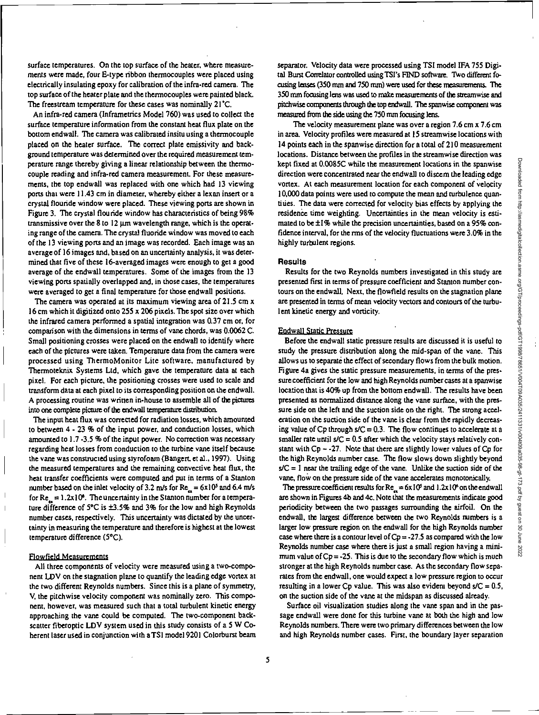surface temperatures. On the top surface of the heater, where measurements were made, four E-type ribbon thermocouples were placed using electrically insulating epoxy for calibration of the infra-red camera. The top surface of the heater plate and the thermocouples were painted black. The freestream temperature for these cases was nominally 21°C.

An infra-red camera (Inframetrics Model 760) was used to collect the surface temperature information from the constant heat flux plate on the bottom endwall. The camera was calibrated insitu using a thermocouple placed on the heater surface. The correct plate emissivity and background temperature was determined over the required measurement temperature range thereby giving a linear relationship between the thermocouple reading and infra-red camera measurement. For these measurements, the top endwall was replaced with one which had 13 viewing ports that were 11.43 cm in diameter, whereby either a lexan insert or a crystal flouride window were placed. These viewing ports are shown in Figure 3. The crystal flouride window has characteristics of being 98% transmissive over the 8 to 12 um wavelength range, which is the operating range of the camera. The crystal fluoride window was moved to each of the 13 viewing ports and an image was recorded. Each image was an average of 16 images and, based on an uncertainty analysis, it was determined that five of these I6-averaged images were enough to get a good average of the endwall temperatures. Some of the images from the 13 viewing ports spatially overlapped and, in those cases, the temperatures were averaged to get a final temperature for those endwall positions.

The camera was operated at its maximum viewing area of 21.5 cm x 16 cm which it digitized onto 255 x 206 pixels. The spot size over which the infrared camera performed a spatial integration was 0.37 cm or. for comparison with the dimensions in terms of vane chords, was 0.0062 C. Small positioning crosses were placed on the endwall to identify where each of the pictures were taken. Temperature data from the camera were processed using ThermoMonitor Lite software, manufactured by Thermoteknix Systems Ltd, which gave the temperature data at each pixel. For each picture, the positioning crosses were used to scale and transform data at each pixel to its corresponding position on the endwall. A processing routine was written in-house to assemble all of the pictures into one complete picture of the endwall temperature distribution.

The input heat flux was corrected for radiation losses, which amounted to between **4 -** 23 % of the input power, and conduction losses, which amounted to 1.7 -3.5 % of the input power. No correction was necessary regarding heat losses from conduction to the turbine vane itself because the vane was constructed using styrofoam (Bangert, et a).. 1997). Using the measured temperatures and the remaining convective heat flux, the heat transfer coefficients were computed and put in terms of a Stanton number based on the inlet velocity of 3.2 m/s for  $Re_a = 6x10^5$  and 6.4 m/s for  $Re_{z} = 1.2x10^6$ . The uncertainty in the Stanton number for a temperature difference of 5°C is ±3.5% and 3% for the low and high Reynolds number cases, respectively. This uncertainty was dictated by the uncertainty in measuring the temperature and therefore is highest at the lowest temperature difference (5°C).

### flowfield Measurements

All three components of velocity were measured using a two-component LDV on the stagnation plane to quantify the leading edge vortex at the two different Reynolds numbers. Since this is a plane of symmetry, V. the pitchwise velocity component was nominally zero. This component, however, was measured such that a total turbulent kinetic energy approaching the vane could be computed. The two-component backscatter fiberoptic LDV system used in this study consists of a 5 W Coherent laser used in conjunction with a TSI model 9201 Colorburst beam separator. Velocity data were processed using TSI model IFA 755 Digital Burst Correlator controlled using TSI's FIND software. Two different focusing lenses (350 mm and 750 mm) were used for these measurements. The 350 mm focusing lens was used to make measurements of the streamwise and pitchwise components through the top endwall. The spanwise component was measured from the side using the 750 mm focusing lens.

The velocity measurement plane was over a region 7.6 cm x 7.6 cm in area. Velocity profiles were measured at 15 streamwise locations with 14 points each in the spanwise direction for a total of 210 measurement locations. Distance between the profiles in the streamwise direction was kept fixed at 0.0085C while the measurement locations in the spanwise direction were concentrated near the endwall to discern the leading edge vortex. At each measurement location for each component of velocity 10,000 data points were used to compute the mean and turbulence quantities. The data were corrected for velocity bias effects by applying the residence time weighting. Uncertainties in the mean velocity is estimated to be ±1% while the precision uncertainties, based on a 95% confidence interval, for the rms of the velocity fluctuations were 3.0% in the highly turbulent regions.

#### Results

Results for the two Reynolds numbers investigated in this study are presented first in terms of pressure coefficient and Stanton number contours on the endwall. Next, the flowfield results on the stagnation plane are presented in terms of mean velocity vectors and contours of the turbulent kinetic energy and vorticity.

#### Endwall Static Pressure

Before the endwall static pressure results are discussed it is useful to study the pressure distribution along the mid-span of the vane. This allows us to separate the effect of secondary flows from the bulk motion. Figure 4a gives the static pressure measurements, in terms of the pressure coefficient for the low and high Reynolds number cases at a spanwise location that is 40% up from the bottom endwall. The results have been presented as normalized distance along the vane surface, with the pressure side on the left and the suction side on the right. The strong acceleration on the suction side of the vane is clear from the rapidly decreasing value of Cp through  $s/C = 0.3$ . The flow continues to accelerate at a smaller rate until  $s/C = 0.5$  after which the velocity stays relatively constant with  $Cp - 27$ . Note that there are slightly lower values of  $Cp$  for the high Reynolds number case. The flow slows down slightly beyond  $s/C = I$  near the trailing edge of the vane. Unlike the suction side of the vane, flow on the pressure side of the vane accelerates monotonically.

The pressure coefficient results for  $Re_a = 6x10^5$  and  $1.2x10^6$  on the endwall are shown in Figures 4b and 4c. Note that the measurements indicate good periodicity between the two passages surrounding the airfoil. On the endwall, the largest difference between the two Reynolds numbers is a larger low pressure region on the endwall for the high Reynolds number case where there is a contour level of  $Cp = -27.5$  as compared with the low Reynolds number case where there is just a small region having a minimum value of  $Cp = -25$ . This is due to the secondary flow which is much stronger at the high Reynolds number case. As the secondary flow separates from the endwall, one would expect a low pressure region to occur resulting in a lower Cp value. This was also evident beyond  $s/C = 0.5$ , on the suction side of the vane at the midspan as discussed already.

Surface oil visualization studies along the vane span and in the passage endwall were done for this turbine vane at both the high and low Reynolds numbers. There were two primary differences between the low and high Reynolds number cases. First, the boundary layer separation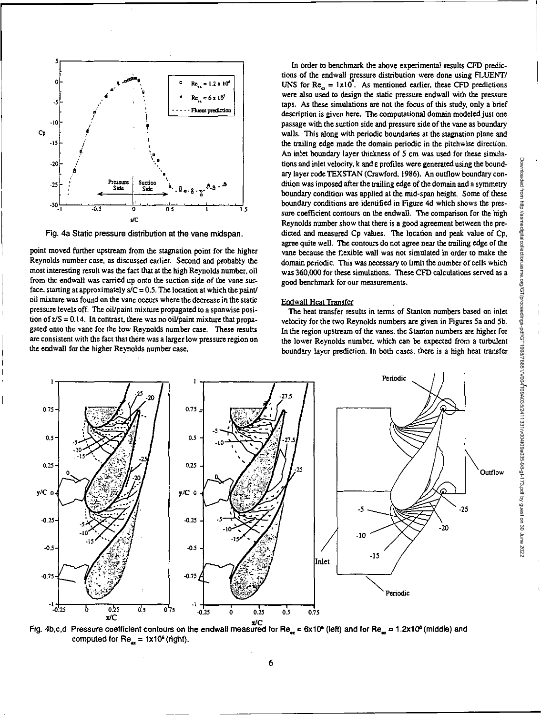

Fig. 4a Static pressure distribution at the vane midspan.

point moved further upstream from the stagnation point for the higher Reynolds number case, as discussed earlier. Second and probably the most interesting result was the fact that at the high Reynolds number, oil from the endwall was carried up onto the suction side of the vane surface, starting at approximately  $s/C = 0.5$ . The location at which the paint/ oil mixture was found on the vane occurs where the decrease in the static pressure levels off. The oil/paint mixture propagated to a spanwise position of  $z/S = 0.14$ . In contrast, there was no oil/paint mixture that propagated onto the vane for the low Reynolds number case. These results are consistent with the fact that there was a larger low pressure region on the endwall for the higher Reynolds number case.

In order to benchmark the above experimental results CFD predictions of the endwall pressure distribution were done using FLUENT/ UNS for  $Re_a = 1x10^\circ$ . As mentioned earlier, these CFD predictions were also used to design the static pressure endwall with the pressure taps. As these simulations are not the focus of this study, only a brief description is given here. The computational domain modeled just one passage with the suction side and pressure side of the vane as boundary walls. This along with periodic boundaries at the stagnation plane and the trailing edge made the domain periodic in the pitch wise direction. An inlet boundary layer thickness of 5 cm was used for these simulations and inlet velocity, k and e profiles were generated using the boundary layer code TEXSTAN (Crawford, 1986). An outflow boundary condition was imposed after the trailing edge of the domain and a symmetry boundary condition was applied at the mid-span height. Some of these boundary conditions are identified in Figure 44:1 which shows the *pressure* coefficient contours on the endwall. The comparison for the high Reynolds number show that there is a good agreement between the predicted and measured Cp values. The location and peak value of Cp, agree quite well. The contours do not agree near the trailing edge of the vane because the flexible wall was not simulated in order to make the domain periodic. This was necessary to limit the number of cells which was 360,000 for these simulations. These CFD calculations served as a good benchmark for our measurements.

#### Endwall Heat Transfer

The heat transfer results in terms of Stanton numbers based on inlet velocity for the two Reynolds numbers are given in Figures 5a and 5b. In the region upstream of the vanes, the Stanton numbers are higher for the lower Reynolds number, which can be expected from a turbulent boundary layer prediction. In both cases, there is a high heat transfer



computed for  $\text{Re}_{\text{av}} = 1 \times 10^6$  (right).

 $\bar{1}$ 

l.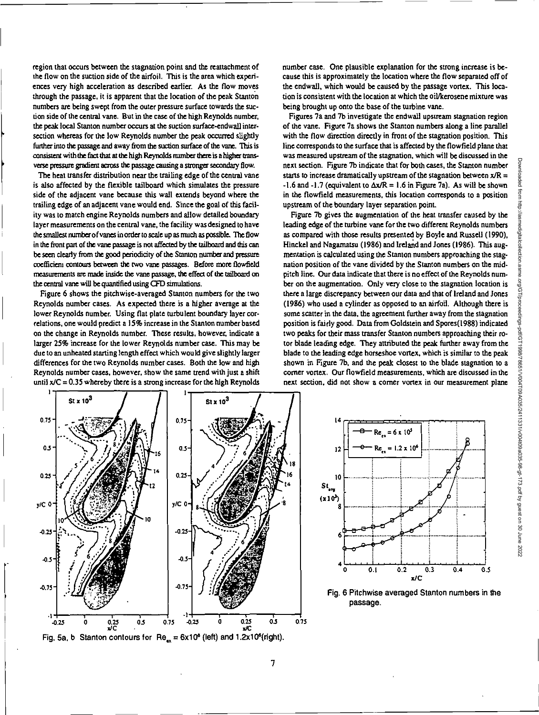region that occurs between the stagnation point and the reattachment of the flow on the suction side of the airfoil. This is the area which experiences very high acceleration as described earlier. As the flow moves through the passage, it is apparent that the location of the peak Stanton numbers are being swept from the outer pressure surface towards the suction side of the central vane. But in the case of the high Reynolds number, the peak local Stanton number occurs at the suction surface-endwall intersection whereas for the low Reynolds number the peak occurred slightly further into the passage and away from the suction surface of the vane. This is consistent with the fact that at the high Reynolds minter there is a higher transverse pressure gradient across the passage causing a stronger secondary flow.

The heat transfer distribution near the trailing edge of the central vane is also affected by the flexible tailboard which simulates the pressure side of the adjacent vane because this wall extends beyond where the trailing edge of an adjacent vane would end. Since the goal of this facility was to match engine Reynolds numbers and allow detailed boundary layer measurements on the central vane, the facility was designed to have the smallest number of vanes in order to scale up as much as possible. The flow in the front pan of the vane passage is not affected by the tailboard and this can be seen clearly from the good periodicity of the Stanton number and pressure coefficient contours between the two vane passages. Before more flowfield measurements are made inside the vane passage, the effect of the tailboard on the central vane will be quantified using CFD simulations.

Figure 6 shows the pitchwise-averaged Stanton numbers for the two Reynolds number cases. As expected there is a higher average at the lower Reynolds number. Using flat plate turbulent boundary layer correlations, one would predict a 15% increase in the Stanton number based on the change in Reynolds number. These results, however, indicate a larger 25% increase for the lower Reynolds number case. This may be due to an unheated starting length effect which would give slightly larger differences for the two Reynolds number cases. Both the low and high Reynolds number cases, however, show the same trend with just a shift until  $x/C = 0.35$  whereby there is a strong increase for the high Reynolds number case. One plausible explanation for the strong increase is because this is approximately the location where the flow separated off of the endwall, which would be caused by the passage vortex. This location is consistent with the location at which the oil/kerosene mixture was being brought up onto the base of the turbine vane.

Figures 7a and 7b investigate the endwall upstream stagnation region of the vane. Figure 7a shows the Stanton numbers along a line parallel with the flow direction directly in front of the stagnation position. This line corresponds to the surface that is affected by the flowfield plane that was measured upstream of the stagnation, which will be discussed in the next section. Figure 7b indicate that for both cases, the Stanton number starts to increase dramatically upstream of the stagnation between  $x/R =$ -1.6 and -1.7 (equivalent to  $\Delta x/R = 1.6$  in Figure 7a). As will be shown in the flowfield measurements, this location corresponds to a position upstream of the boundary layer separation point.

Figure 7b gives the augmentation of the heat transfer caused by the leading edge of the turbine vane for the two different Reynolds numbers as compared with those results presented by Boyle and Russell (1990), Hinckel and Nagamatsu (1986) and Ireland and Jones (1986). This augmentation is calculated using the Stanton numbers approaching the stagnation position of the vane divided by the Stanton numbers on the midpitch line. Our data indicate that there is no effect of the Reynolds number on the augmentation. Only very close to the stagnation location is there a large discrepancy between our data and that of Ireland and Jones (1986) who used a cylinder as opposed to an airfoil. Although there is some scatter in the data, the agreement further away from the stagnation position is fairly good. Data from Goldstein and Spores(1988) indicated two peaks for their mass transfer Stanton numbers approaching their rotor blade leading edge. They attributed the peak further away from the blade to the leading edge horseshoe vortex, which is similar to the peak shown in Figure 7b, and the peak closest to the blade stagnation to a corner vortex. Our flowfield measurements, which are discussed in the next section, did not show a corner vortex in our measurement plane

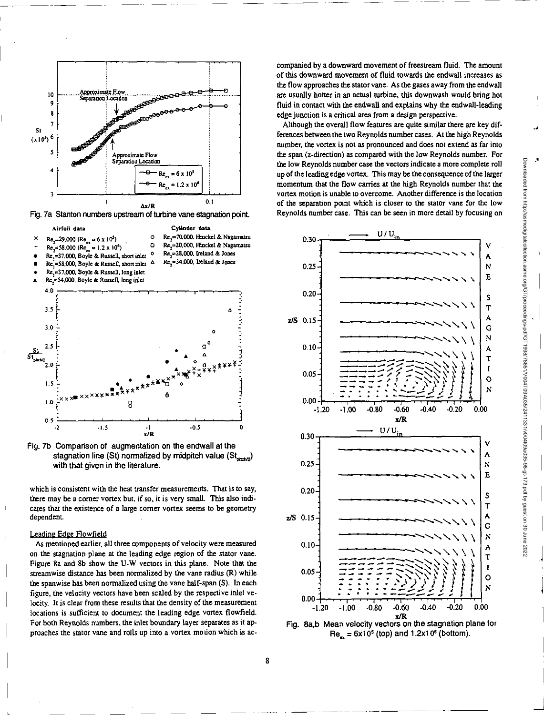

Fig. 7a Stanton numbers upstream of turbine vane stagnation point



Fig. 7b Comparison of augmentation on the endwall at the stagnation line (St) normalized by midpitch value (St<sub>oune</sub>) with that given in the literature.

which is consistent with the heat transfer measurements. That is to say, there may be a corner vortex but, if so, it is very small. This also indicates that the existence of a large corner vortex seems to be geometry dependent.

## Leading Edge Flowfield

As mentioned earlier, all three components of velocity were measured on the stagnation plane at the leading edge region of the stator vane. Figure 8a and 8b show the U-W vectors in this plane. Note that the streamwise distance has been normalized by the vane radius (R) while the spanwise has been normalized using the vane half-span (S). In each figure, the velocity vectors have been scaled by the respective inlet velocity. It is clear from these results that the density of the measurement locations is sufficient to document the leading edge vortex flowfield. For both Reynolds numbers, the inlet boundary layer separates as it approaches the stator vane and rolls up into a vortex motion which is ac-

companied by a downward movement of freestrearn fluid. The amount of this downward movement of fluid towards the endwall increases as the flow approaches the stator vane. As the gases away from the endwall are usually hotter in an actual turbine, this downwash would bring hot fluid in contact with the endwall and explains why the endwall-leading edge junction is a critical area from a design perspective.

Although the overall flow features are quite similar there are key differences between the two Reynolds number cases. At the high Reynolds number, the vortex is not as pronounced and does not extend as far into the span (z-direction) as compared with the low Reynolds number. For the low Reynolds number case the vectors indicate a more complete roll up of the leading edge vortex. This may be the consequence of the larger momentum that the flow carries at the high Reynolds number that the vortex motion is unable to overcome. Another difference is the location of the separation point which is closer to the stator vane for the low Reynolds number case. This can be seen in more detail by focusing on



Fig. 8a,b Mean velocity vectors on the stagnation plane for  $Re_{xy} = 6x10^5$  (top) and 1.2x10<sup>6</sup> (bottom).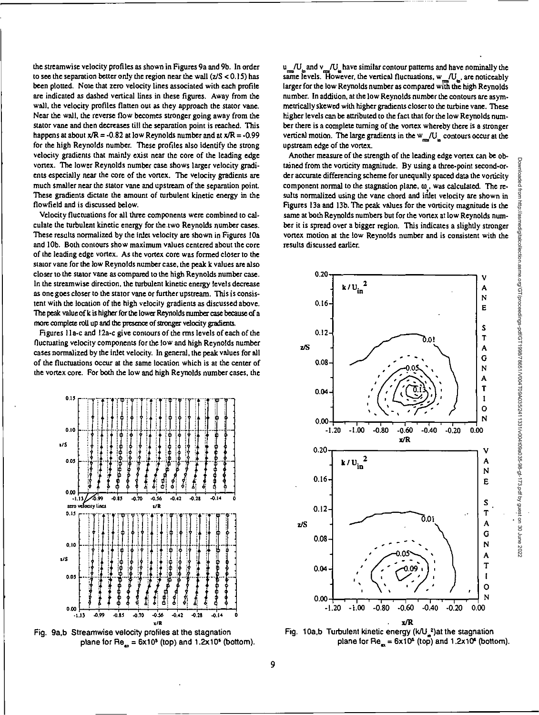the streamwise velocity profiles as shown in Figures 9a and 9b. In order to see the separation better only the region near the wall  $(z/S < 0.15)$  has *been* plotted. Note that zero velocity lines associated with each profile are indicated as dashed vertical lines in these figures. Away from the wall, the velocity profiles flatten out as they approach the stator vane. Near the wall, the reverse flow becomes stronger going away from the stator vane and then decreases till the separation point is reached. This happens at about  $x/R = -0.82$  at low Reynolds number and at  $x/R = -0.99$ for the high Reynolds number. These profiles also identify the strong velocity gradients that mainly exist near the core of the leading edge vortex. The lower Reynolds number case shows larger velocity gradients especially near the core of the vortex. The velocity gradients are much smaller near the stator vane and upstream of the separation point. These gradients dictate the amount of turbulent kinetic energy in the flowfield and is discussed below.

Velocity fluctuations for all three components were combined to calculate the turbulent kinetic energy for the two Reynolds number cases. These results normalized by the inlet velocity are shown in Figures 10a and 10b. Both contours show maximum values centered about the core of the leading edge vortex. As the vortex core was formed closer to the stator vane for the low Reynolds number case, the peak k values are also closer to the stator vane as compared to the high Reynolds number case. In the streamwise direction, the turbulent kinetic energy levels decrease as one goes closer to the stator vane or further upstream. This is consistent with the location of the high velocity gradients as discussed above. The peak value of k is higher for the lower Reynolds number case because of a more complete roll up and the presence of stronger velocity gradients.

Figures I la-c and I2a-c give contours of the rms levels of each of the fluctuating velocity components for the low and high Reynolds number cases normalized by the inlet velocity. In general, the peak values for all of the fluctuations occur at the same location which is at the center of the vortex core. For both the low and high Reynolds number cases, the





 $u_{\text{max}}/U_{\text{max}}/U_{\text{max}}$  have similar contour patterns and have nominally the same levels. However, the vertical fluctuations,  $w_M/U$ , are noticeably larger for the low Reynolds number as compared with the high Reynolds number. In addition, at the low Reynolds number the contours are asymmetrically skewed with higher gradients closer to the turbine vane. These higher levels can be attributed to the fact that for the low Reynolds number there is a complete turning of the vortex whereby there is a stronger vertical motion. The large gradients in the  $w_{\mu\nu}/U_{\mu}$  contours occur at the upstream edge of the vortex.

Another measure of the strength of the leading edge vortex can be obtained from the vorticity magnitude. By using a three-point second-order accurate differencing scheme for unequally spaced data the vorticity component normal to the stagnation plane, to , was calculated. The results normalized using the vane chord and inlet velocity are shown in Figures 13a and 13b. The peak values for the vorticity magnitude is the same at both Reynolds numbers but for the vortex at low Reynolds number it is spread over a bigger region. This indicates a slightly stronger vortex motion at the low Reynolds number and is consistent with the results discussed earlier.



Fig. 10a,b Turbulent kinetic energy  $(k/U_a^2)$ at the stagnation plane for  $\text{Re}_{\text{m}} = 6x10^5$  (top) and 1.2x10<sup>6</sup> (bottom).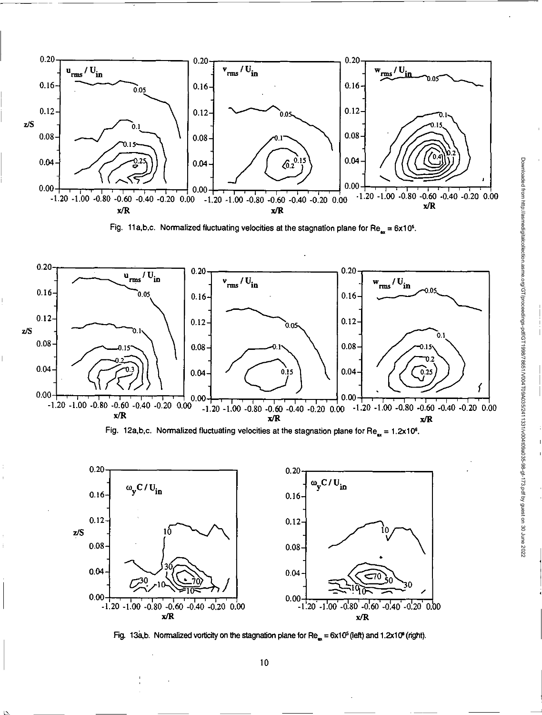





Downloaded from http://asmedigitalcollection.asme.org/GT/proceedings-pdf/GT1998/78651/V004T09A035/2411331/v004t09a035-98-gt-173.pdf by guest on 30 June 2022

Downloaded from http://asmedigitalcollection.asme.org/GTFproceedings-pdf/GT1998/78651/V004T09A035/2411331/V004t09a035-96-gt-173.pdf by guest on 30 June 2022







**LX**